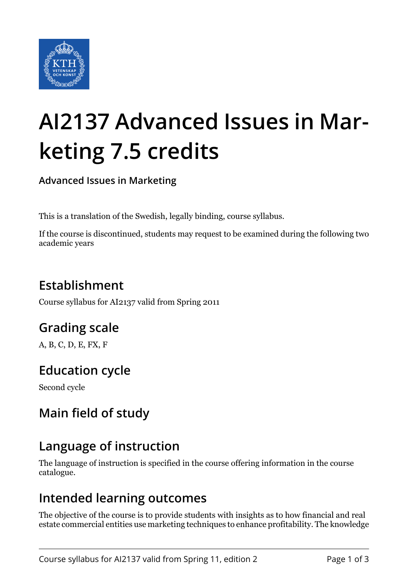

# **AI2137 Advanced Issues in Marketing 7.5 credits**

**Advanced Issues in Marketing**

This is a translation of the Swedish, legally binding, course syllabus.

If the course is discontinued, students may request to be examined during the following two academic years

## **Establishment**

Course syllabus for AI2137 valid from Spring 2011

## **Grading scale**

A, B, C, D, E, FX, F

## **Education cycle**

Second cycle

## **Main field of study**

## **Language of instruction**

The language of instruction is specified in the course offering information in the course catalogue.

#### **Intended learning outcomes**

The objective of the course is to provide students with insights as to how financial and real estate commercial entities use marketing techniques to enhance profitability. The knowledge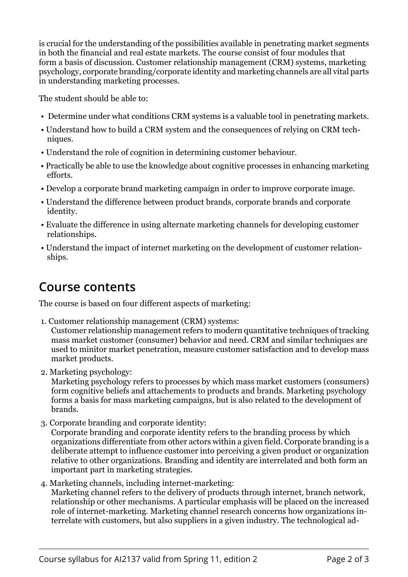is crucial for the understanding of the possibilities available in penetrating market segments in both the financial and real estate markets. The course consist of four modules that form a basis of discussion. Customer relationship management (CRM) systems, marketing psychology, corporate branding/corporate identity and marketing channels are all vital parts in understanding marketing processes.

The student should be able to:

- Determine under what conditions CRM systems is a valuable tool in penetrating markets.
- Understand how to build a CRM system and the consequences of relying on CRM techniques.
- Understand the role of cognition in determining customer behaviour.
- Practically be able to use the knowledge about cognitive processes in enhancing marketing efforts.
- Develop a corporate brand marketing campaign in order to improve corporate image.
- Understand the difference between product brands, corporate brands and corporate identity.
- Evaluate the difference in using alternate marketing channels for developing customer relationships.
- Understand the impact of internet marketing on the development of customer relationships.

#### **Course contents**

The course is based on four different aspects of marketing:

- 1. Customer relationship management (CRM) systems: Customer relationship management refers to modern quantitative techniques of tracking mass market customer (consumer) behavior and need. CRM and similar techniques are used to minitor market penetration, measure customer satisfaction and to develop mass market products.
- 2. Marketing psychology:

Marketing psychology refers to processes by which mass market customers (consumers) form cognitive beliefs and attachements to products and brands. Marketing psychology forms a basis for mass marketing campaigns, but is also related to the development of brands.

3. Corporate branding and corporate identity:

Corporate branding and corporate identity refers to the branding process by which organizations differentiate from other actors within a given field. Corporate branding is a deliberate attempt to influence customer into perceiving a given product or organization relative to other organizations. Branding and identity are interrelated and both form an important part in marketing strategies.

 4. Marketing channels, including internet-marketing: Marketing channel refers to the delivery of products through internet, branch network, relationship or other mechanisms. A particular emphasis will be placed on the increased role of internet-marketing. Marketing channel research concerns how organizations interrelate with customers, but also suppliers in a given industry. The technological ad